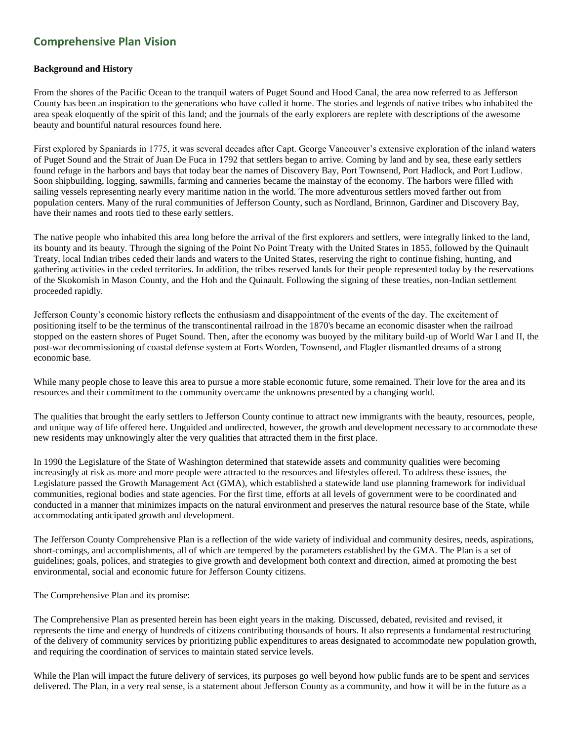## **Comprehensive Plan Vision**

## **Background and History**

From the shores of the Pacific Ocean to the tranquil waters of Puget Sound and Hood Canal, the area now referred to as Jefferson County has been an inspiration to the generations who have called it home. The stories and legends of native tribes who inhabited the area speak eloquently of the spirit of this land; and the journals of the early explorers are replete with descriptions of the awesome beauty and bountiful natural resources found here.

First explored by Spaniards in 1775, it was several decades after Capt. George Vancouver's extensive exploration of the inland waters of Puget Sound and the Strait of Juan De Fuca in 1792 that settlers began to arrive. Coming by land and by sea, these early settlers found refuge in the harbors and bays that today bear the names of Discovery Bay, Port Townsend, Port Hadlock, and Port Ludlow. Soon shipbuilding, logging, sawmills, farming and canneries became the mainstay of the economy. The harbors were filled with sailing vessels representing nearly every maritime nation in the world. The more adventurous settlers moved farther out from population centers. Many of the rural communities of Jefferson County, such as Nordland, Brinnon, Gardiner and Discovery Bay, have their names and roots tied to these early settlers.

The native people who inhabited this area long before the arrival of the first explorers and settlers, were integrally linked to the land, its bounty and its beauty. Through the signing of the Point No Point Treaty with the United States in 1855, followed by the Quinault Treaty, local Indian tribes ceded their lands and waters to the United States, reserving the right to continue fishing, hunting, and gathering activities in the ceded territories. In addition, the tribes reserved lands for their people represented today by the reservations of the Skokomish in Mason County, and the Hoh and the Quinault. Following the signing of these treaties, non-Indian settlement proceeded rapidly.

Jefferson County's economic history reflects the enthusiasm and disappointment of the events of the day. The excitement of positioning itself to be the terminus of the transcontinental railroad in the 1870's became an economic disaster when the railroad stopped on the eastern shores of Puget Sound. Then, after the economy was buoyed by the military build-up of World War I and II, the post-war decommissioning of coastal defense system at Forts Worden, Townsend, and Flagler dismantled dreams of a strong economic base.

While many people chose to leave this area to pursue a more stable economic future, some remained. Their love for the area and its resources and their commitment to the community overcame the unknowns presented by a changing world.

The qualities that brought the early settlers to Jefferson County continue to attract new immigrants with the beauty, resources, people, and unique way of life offered here. Unguided and undirected, however, the growth and development necessary to accommodate these new residents may unknowingly alter the very qualities that attracted them in the first place.

In 1990 the Legislature of the State of Washington determined that statewide assets and community qualities were becoming increasingly at risk as more and more people were attracted to the resources and lifestyles offered. To address these issues, the Legislature passed the Growth Management Act (GMA), which established a statewide land use planning framework for individual communities, regional bodies and state agencies. For the first time, efforts at all levels of government were to be coordinated and conducted in a manner that minimizes impacts on the natural environment and preserves the natural resource base of the State, while accommodating anticipated growth and development.

The Jefferson County Comprehensive Plan is a reflection of the wide variety of individual and community desires, needs, aspirations, short-comings, and accomplishments, all of which are tempered by the parameters established by the GMA. The Plan is a set of guidelines; goals, polices, and strategies to give growth and development both context and direction, aimed at promoting the best environmental, social and economic future for Jefferson County citizens.

The Comprehensive Plan and its promise:

The Comprehensive Plan as presented herein has been eight years in the making. Discussed, debated, revisited and revised, it represents the time and energy of hundreds of citizens contributing thousands of hours. It also represents a fundamental restructuring of the delivery of community services by prioritizing public expenditures to areas designated to accommodate new population growth, and requiring the coordination of services to maintain stated service levels.

While the Plan will impact the future delivery of services, its purposes go well beyond how public funds are to be spent and services delivered. The Plan, in a very real sense, is a statement about Jefferson County as a community, and how it will be in the future as a